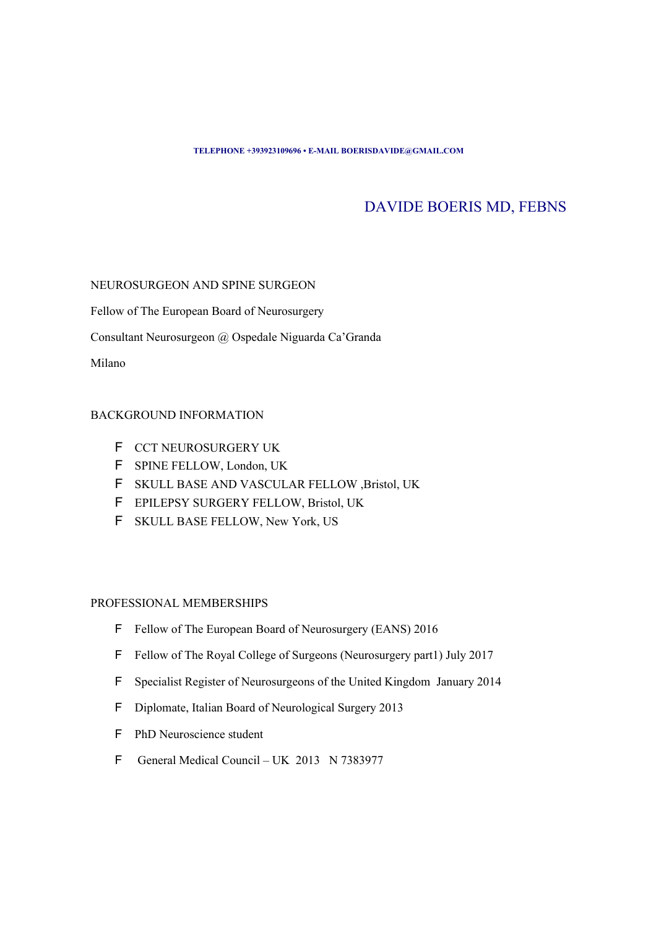#### **TELEPHONE +393923109696 • E-MAIL BOERISDAVIDE@GMAIL.COM**

# DAVIDE BOERIS MD, FEBNS

## NEUROSURGEON AND SPINE SURGEON

Fellow of The European Board of Neurosurgery

Consultant Neurosurgeon @ Ospedale Niguarda Ca'Granda

Milano

## BACKGROUND INFORMATION

- F CCT NEUROSURGERY UK
- F SPINE FELLOW, London, UK
- ✦ SKULL BASE AND VASCULAR FELLOW ,Bristol, UK
- **F** EPILEPSY SURGERY FELLOW, Bristol, UK
- F SKULL BASE FELLOW, New York, US

# PROFESSIONAL MEMBERSHIPS

- F Fellow of The European Board of Neurosurgery (EANS) 2016
- F Fellow of The Royal College of Surgeons (Neurosurgery part1) July 2017
- F Specialist Register of Neurosurgeons of the United Kingdom January 2014
- **F** Diplomate, Italian Board of Neurological Surgery 2013
- **F** PhD Neuroscience student
- ✦ General Medical Council UK 2013 N 7383977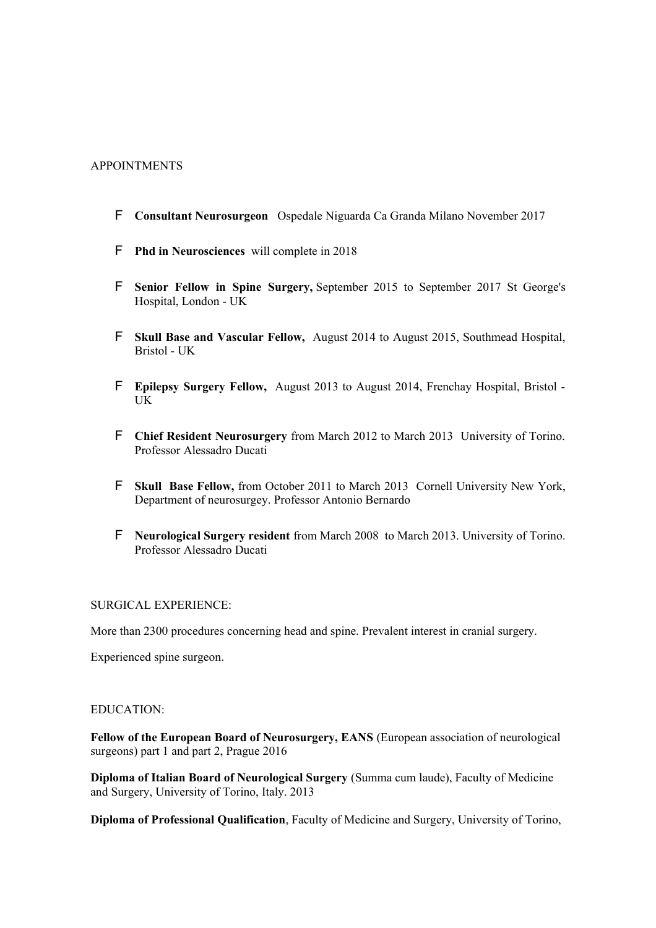# APPOINTMENTS

- ✦ **Consultant Neurosurgeon** Ospedale Niguarda Ca Granda Milano November 2017
- **F** Phd in Neurosciences will complete in 2018
- ✦ **Senior Fellow in Spine Surgery,** September 2015 to September 2017 St George's Hospital, London - UK
- ✦ **Skull Base and Vascular Fellow,** August 2014 to August 2015, Southmead Hospital, Bristol - UK
- ✦ **Epilepsy Surgery Fellow,** August 2013 to August 2014, Frenchay Hospital, Bristol UK
- ✦ **Chief Resident Neurosurgery** from March 2012 to March 2013 University of Torino. Professor Alessadro Ducati
- ✦ **Skull Base Fellow,** from October 2011 to March 2013Cornell University New York, Department of neurosurgey. Professor Antonio Bernardo
- ✦ **Neurological Surgery resident** from March 2008 to March 2013. University of Torino. Professor Alessadro Ducati

## SURGICAL EXPERIENCE:

More than 2300 procedures concerning head and spine. Prevalent interest in cranial surgery.

Experienced spine surgeon.

#### EDUCATION:

**Fellow of the European Board of Neurosurgery, EANS** (European association of neurological surgeons) part 1 and part 2, Prague 2016

**Diploma of Italian Board of Neurological Surgery** (Summa cum laude), Faculty of Medicine and Surgery, University of Torino, Italy. 2013

**Diploma of Professional Qualification**, Faculty of Medicine and Surgery, University of Torino,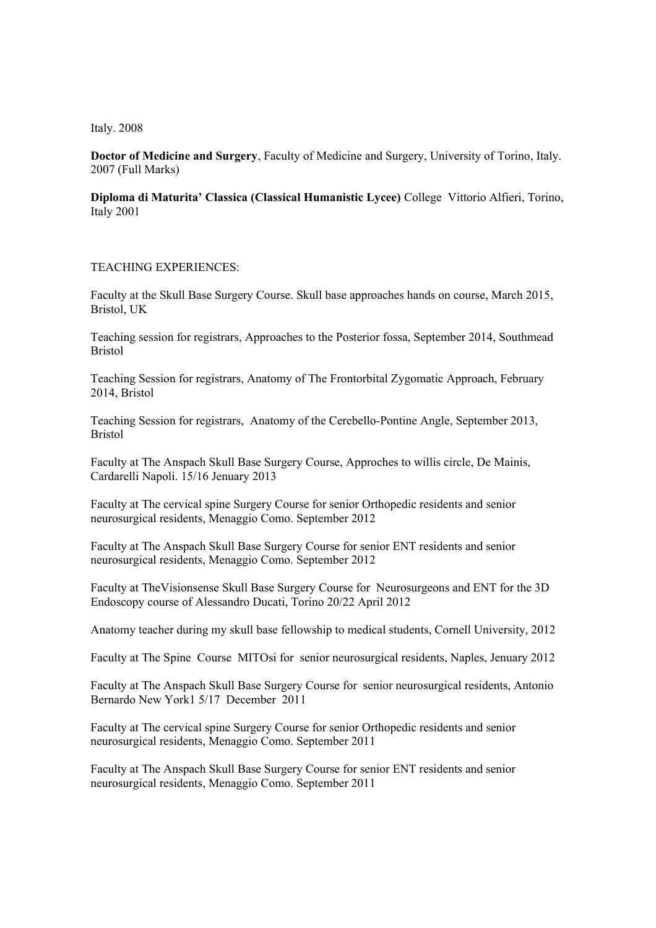Italy. 2008

**Doctor of Medicine and Surgery**, Faculty of Medicine and Surgery, University of Torino, Italy. 2007 (Full Marks)

**Diploma di Maturita' Classica (Classical Humanistic Lycee)** College Vittorio Alfieri, Torino, Italy 2001

#### TEACHING EXPERIENCES:

Faculty at the Skull Base Surgery Course. Skull base approaches hands on course, March 2015, Bristol, UK

Teaching session for registrars, Approaches to the Posterior fossa, September 2014, Southmead Bristol

Teaching Session for registrars, Anatomy of The Frontorbital Zygomatic Approach, February 2014, Bristol

Teaching Session for registrars, Anatomy of the Cerebello-Pontine Angle, September 2013, Bristol

Faculty at The Anspach Skull Base Surgery Course, Approches to willis circle, De Mainis, Cardarelli Napoli. 15/16 Jenuary 2013

Faculty at The cervical spine Surgery Course for senior Orthopedic residents and senior neurosurgical residents, Menaggio Como. September 2012

Faculty at The Anspach Skull Base Surgery Course for senior ENT residents and senior neurosurgical residents, Menaggio Como. September 2012

Faculty at TheVisionsense Skull Base Surgery Course for Neurosurgeons and ENT for the 3D Endoscopy course of Alessandro Ducati, Torino 20/22 April 2012

Anatomy teacher during my skull base fellowship to medical students, Cornell University, 2012

Faculty at The Spine Course MITOsi for senior neurosurgical residents, Naples, Jenuary 2012

Faculty at The Anspach Skull Base Surgery Course for senior neurosurgical residents, Antonio Bernardo New York1 5/17 December 2011

Faculty at The cervical spine Surgery Course for senior Orthopedic residents and senior neurosurgical residents, Menaggio Como. September 2011

Faculty at The Anspach Skull Base Surgery Course for senior ENT residents and senior neurosurgical residents, Menaggio Como. September 2011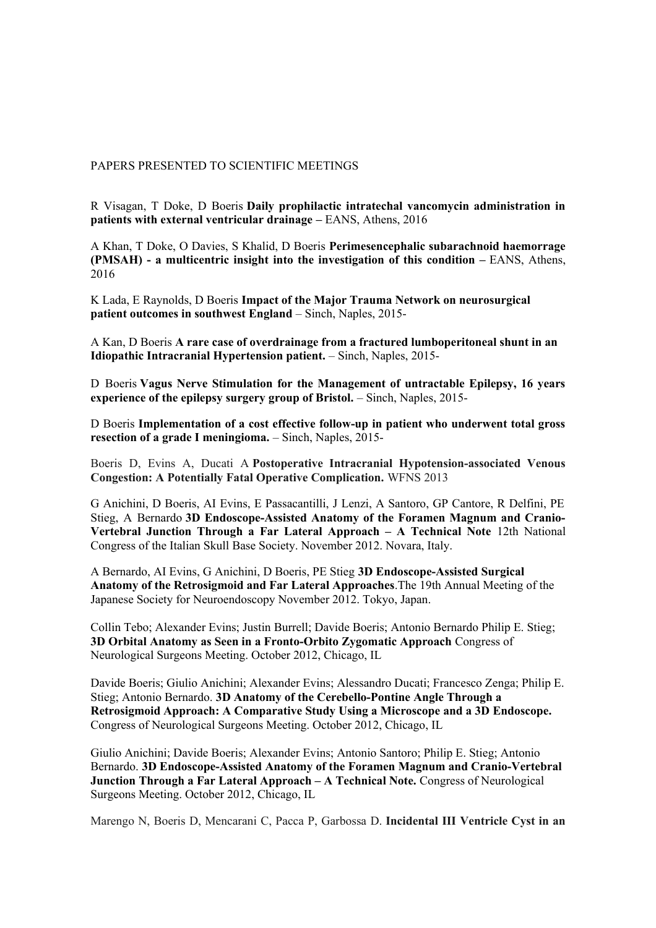## PAPERS PRESENTED TO SCIENTIFIC MEETINGS

R Visagan, T Doke, D Boeris **Daily prophilactic intratechal vancomycin administration in patients with external ventricular drainage –** EANS, Athens, 2016

A Khan, T Doke, O Davies, S Khalid, D Boeris **Perimesencephalic subarachnoid haemorrage (PMSAH) - a multicentric insight into the investigation of this condition –** EANS, Athens, 2016

K Lada, E Raynolds, D Boeris **Impact of the Major Trauma Network on neurosurgical patient outcomes in southwest England** – Sinch, Naples, 2015-

A Kan, D Boeris **A rare case of overdrainage from a fractured lumboperitoneal shunt in an Idiopathic Intracranial Hypertension patient.** – Sinch, Naples, 2015-

D Boeris **Vagus Nerve Stimulation for the Management of untractable Epilepsy, 16 years experience of the epilepsy surgery group of Bristol.** – Sinch, Naples, 2015-

D Boeris **Implementation of a cost effective follow-up in patient who underwent total gross resection of a grade I meningioma.** – Sinch, Naples, 2015-

Boeris D, Evins A, Ducati A **Postoperative Intracranial Hypotension-associated Venous Congestion: A Potentially Fatal Operative Complication.** WFNS 2013

G Anichini, D Boeris, AI Evins, E Passacantilli, J Lenzi, A Santoro, GP Cantore, R Delfini, PE Stieg, A Bernardo **3D Endoscope-Assisted Anatomy of the Foramen Magnum and Cranio-Vertebral Junction Through a Far Lateral Approach – A Technical Note** 12th National Congress of the Italian Skull Base Society. November 2012. Novara, Italy.

A Bernardo, AI Evins, G Anichini, D Boeris, PE Stieg **3D Endoscope-Assisted Surgical Anatomy of the Retrosigmoid and Far Lateral Approaches**.The 19th Annual Meeting of the Japanese Society for Neuroendoscopy November 2012. Tokyo, Japan.

Collin Tebo; Alexander Evins; Justin Burrell; Davide Boeris; Antonio Bernardo Philip E. Stieg; **3D Orbital Anatomy as Seen in a Fronto-Orbito Zygomatic Approach** Congress of Neurological Surgeons Meeting. October 2012, Chicago, IL

Davide Boeris; Giulio Anichini; Alexander Evins; Alessandro Ducati; Francesco Zenga; Philip E. Stieg; Antonio Bernardo. **3D Anatomy of the Cerebello-Pontine Angle Through a Retrosigmoid Approach: A Comparative Study Using a Microscope and a 3D Endoscope.** Congress of Neurological Surgeons Meeting. October 2012, Chicago, IL

Giulio Anichini; Davide Boeris; Alexander Evins; Antonio Santoro; Philip E. Stieg; Antonio Bernardo. **3D Endoscope-Assisted Anatomy of the Foramen Magnum and Cranio-Vertebral Junction Through a Far Lateral Approach – A Technical Note.** Congress of Neurological Surgeons Meeting. October 2012, Chicago, IL

Marengo N, Boeris D, Mencarani C, Pacca P, Garbossa D. **Incidental III Ventricle Cyst in an**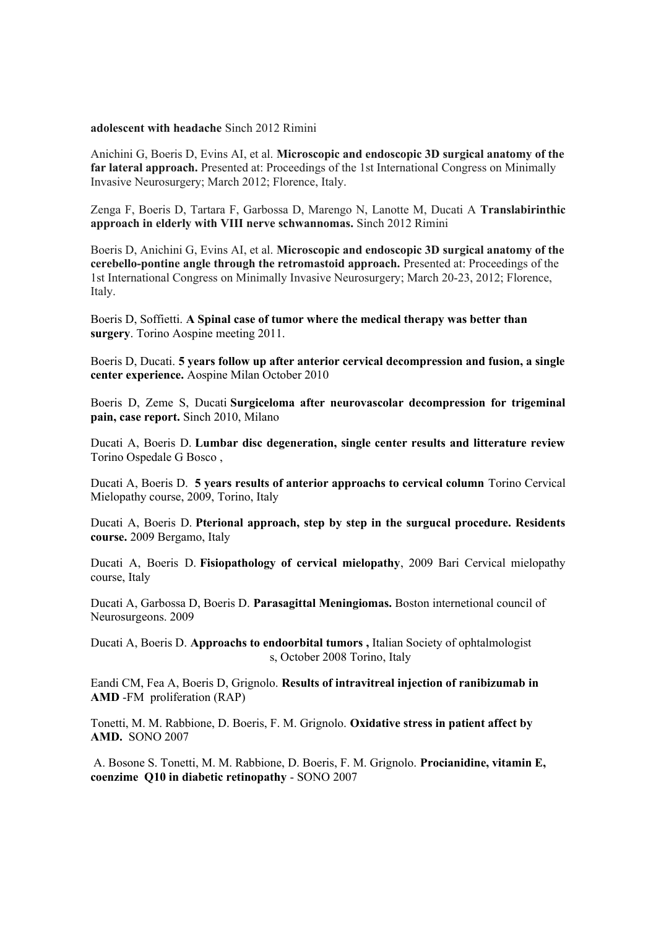#### **adolescent with headache** Sinch 2012 Rimini

Anichini G, Boeris D, Evins AI, et al. **Microscopic and endoscopic 3D surgical anatomy of the far lateral approach.** Presented at: Proceedings of the 1st International Congress on Minimally Invasive Neurosurgery; March 2012; Florence, Italy.

Zenga F, Boeris D, Tartara F, Garbossa D, Marengo N, Lanotte M, Ducati A **Translabirinthic approach in elderly with VIII nerve schwannomas.** Sinch 2012 Rimini

Boeris D, Anichini G, Evins AI, et al. **Microscopic and endoscopic 3D surgical anatomy of the cerebello-pontine angle through the retromastoid approach.** Presented at: Proceedings of the 1st International Congress on Minimally Invasive Neurosurgery; March 20-23, 2012; Florence, Italy.

Boeris D, Soffietti. **A Spinal case of tumor where the medical therapy was better than surgery**. Torino Aospine meeting 2011.

Boeris D, Ducati. **5 years follow up after anterior cervical decompression and fusion, a single center experience.** Aospine Milan October 2010

Boeris D, Zeme S, Ducati **Surgiceloma after neurovascolar decompression for trigeminal pain, case report.** Sinch 2010, Milano

Ducati A, Boeris D. **Lumbar disc degeneration, single center results and litterature review** Torino Ospedale G Bosco ,

Ducati A, Boeris D. **5 years results of anterior approachs to cervical column** Torino Cervical Mielopathy course, 2009, Torino, Italy

Ducati A, Boeris D. **Pterional approach, step by step in the surgucal procedure. Residents course.** 2009 Bergamo, Italy

Ducati A, Boeris D. **Fisiopathology of cervical mielopathy**, 2009 Bari Cervical mielopathy course, Italy

Ducati A, Garbossa D, Boeris D. **Parasagittal Meningiomas.** Boston internetional council of Neurosurgeons. 2009

Ducati A, Boeris D. **Approachs to endoorbital tumors ,** Italian Society of ophtalmologist s, October 2008 Torino, Italy

Eandi CM, Fea A, Boeris D, Grignolo. **Results of intravitreal injection of ranibizumab in AMD** -FM proliferation (RAP)

Tonetti, M. M. Rabbione, D. Boeris, F. M. Grignolo. **Oxidative stress in patient affect by AMD.** SONO 2007

 A. Bosone S. Tonetti, M. M. Rabbione, D. Boeris, F. M. Grignolo. **Procianidine, vitamin E, coenzime Q10 in diabetic retinopathy** - SONO 2007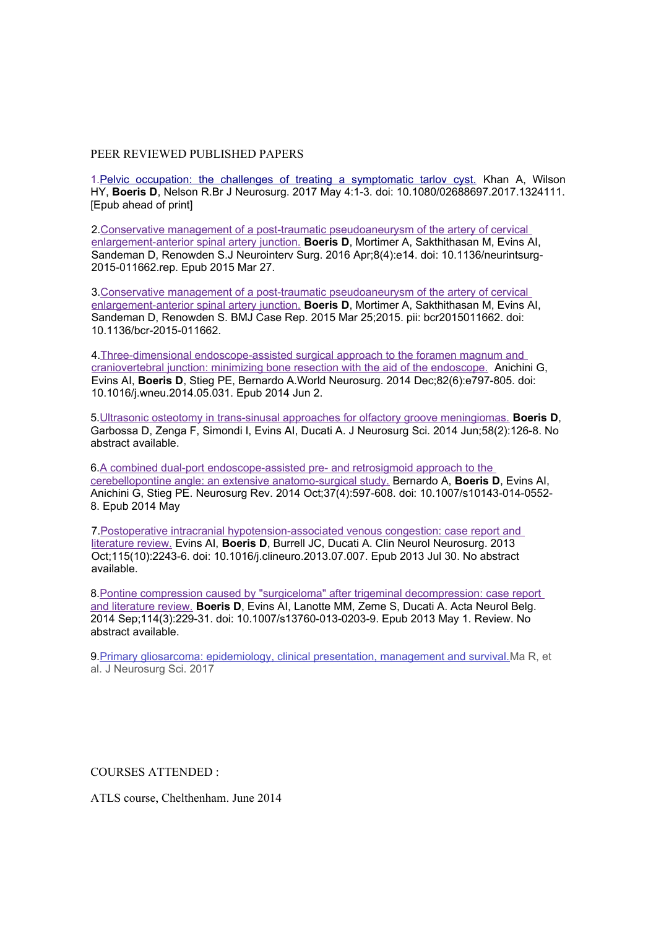#### PEER REVIEWED PUBLISHED PAPERS

1[.Pelvic occupation: the challenges of treating a symptomatic tarlov cyst.](https://www.ncbi.nlm.nih.gov/pubmed/28468515) Khan A, Wilson HY, **Boeris D**, Nelson R.Br J Neurosurg. 2017 May 4:1-3. doi: 10.1080/02688697.2017.1324111. [Epub ahead of print]

2[.Conservative management of a post-traumatic pseudoaneurysm of the artery of cervical](https://www.ncbi.nlm.nih.gov/pubmed/25817516)  [enlargement-anterior spinal artery junction.](https://www.ncbi.nlm.nih.gov/pubmed/25817516) **Boeris D**, Mortimer A, Sakthithasan M, Evins AI, Sandeman D, Renowden S.J Neurointerv Surg. 2016 Apr;8(4):e14. doi: 10.1136/neurintsurg-2015-011662.rep. Epub 2015 Mar 27.

3[.Conservative management of a post-traumatic pseudoaneurysm of the artery of cervical](https://www.ncbi.nlm.nih.gov/pubmed/25809436)  [enlargement-anterior spinal artery junction.](https://www.ncbi.nlm.nih.gov/pubmed/25809436) **Boeris D**, Mortimer A, Sakthithasan M, Evins AI, Sandeman D, Renowden S. BMJ Case Rep. 2015 Mar 25;2015. pii: bcr2015011662. doi: 10.1136/bcr-2015-011662.

4[.Three-dimensional endoscope-assisted surgical approach to the foramen magnum and](https://www.ncbi.nlm.nih.gov/pubmed/25344034)  [craniovertebral junction: minimizing bone resection with the aid of the endoscope.](https://www.ncbi.nlm.nih.gov/pubmed/25344034) Anichini G, Evins AI, **Boeris D**, Stieg PE, Bernardo A.World Neurosurg. 2014 Dec;82(6):e797-805. doi: 10.1016/j.wneu.2014.05.031. Epub 2014 Jun 2.

5[.Ultrasonic osteotomy in trans-sinusal approaches for olfactory groove meningiomas.](https://www.ncbi.nlm.nih.gov/pubmed/24819491) **Boeris D**, Garbossa D, Zenga ✦, Simondi I, Evins AI, Ducati A. J Neurosurg Sci. 2014 Jun;58(2):126-8. No abstract available.

6[.A combined dual-port endoscope-assisted pre- and retrosigmoid approach to the](https://www.ncbi.nlm.nih.gov/pubmed/24804645)  [cerebellopontine angle: an extensive anatomo-surgical study.](https://www.ncbi.nlm.nih.gov/pubmed/24804645) Bernardo A, **Boeris D**, Evins AI, Anichini G, Stieg PE. Neurosurg Rev. 2014 Oct;37(4):597-608. doi: 10.1007/s10143-014-0552- 8. Epub 2014 May

7[.Postoperative intracranial hypotension-associated venous congestion: case report and](https://www.ncbi.nlm.nih.gov/pubmed/23910997)  [literature review.](https://www.ncbi.nlm.nih.gov/pubmed/23910997) Evins AI, **Boeris D**, Burrell JC, Ducati A. Clin Neurol Neurosurg. 2013 Oct;115(10):2243-6. doi: 10.1016/j.clineuro.2013.07.007. Epub 2013 Jul 30. No abstract available.

8[.Pontine compression caused by "surgiceloma" after trigeminal decompression: case report](https://www.ncbi.nlm.nih.gov/pubmed/23637038)  [and literature review.](https://www.ncbi.nlm.nih.gov/pubmed/23637038) **Boeris D**, Evins AI, Lanotte MM, Zeme S, Ducati A. Acta Neurol Belg. 2014 Sep;114(3):229-31. doi: 10.1007/s13760-013-0203-9. Epub 2013 May 1. Review. No abstract available.

9. Primary gliosarcoma: epidemiology, clinical presentation, management and survival. Ma R, et al. J Neurosurg Sci. 2017

COURSES ATTENDED :

ATLS course, Chelthenham. June 2014